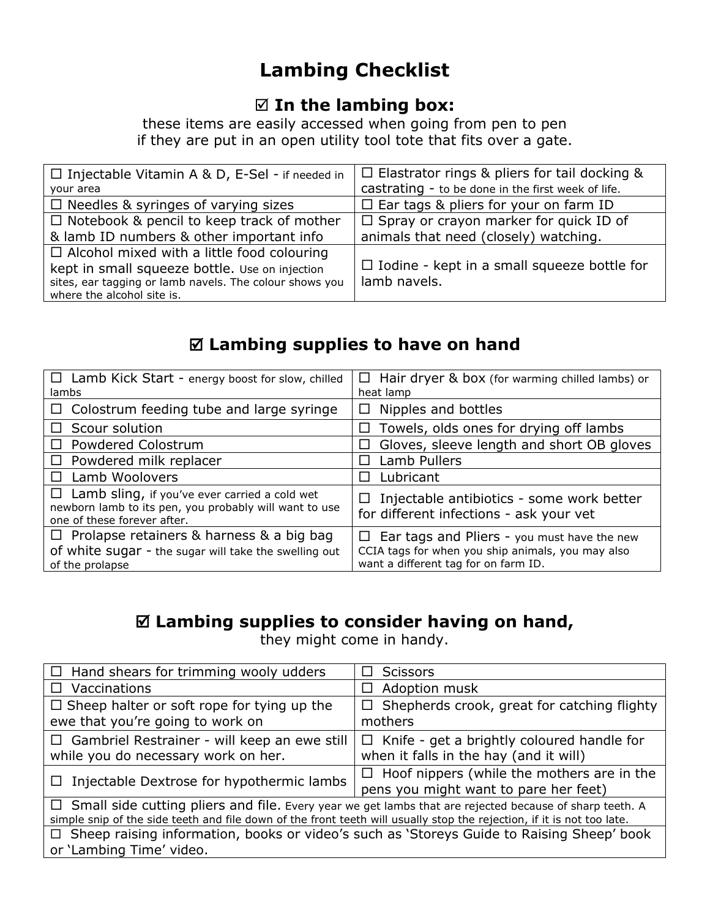# **Lambing Checklist**

#### **In the lambing box:**

these items are easily accessed when going from pen to pen if they are put in an open utility tool tote that fits over a gate.

| $\Box$ Injectable Vitamin A & D, E-Sel - if needed in   | $\Box$ Elastrator rings & pliers for tail docking & |
|---------------------------------------------------------|-----------------------------------------------------|
| your area                                               | castrating - to be done in the first week of life.  |
| $\Box$ Needles & syringes of varying sizes              | $\Box$ Ear tags & pliers for your on farm ID        |
| $\Box$ Notebook & pencil to keep track of mother        | $\Box$ Spray or crayon marker for quick ID of       |
| & lamb ID numbers & other important info                | animals that need (closely) watching.               |
| $\Box$ Alcohol mixed with a little food colouring       |                                                     |
| kept in small squeeze bottle. Use on injection          | $\Box$ Iodine - kept in a small squeeze bottle for  |
| sites, ear tagging or lamb navels. The colour shows you | lamb navels.                                        |
| where the alcohol site is.                              |                                                     |

## **Lambing supplies to have on hand**

| $\Box$ Lamb Kick Start - energy boost for slow, chilled<br>lambs                                                                              | $\Box$ Hair dryer & box (for warming chilled lambs) or<br>heat lamp                                                                                |
|-----------------------------------------------------------------------------------------------------------------------------------------------|----------------------------------------------------------------------------------------------------------------------------------------------------|
| $\Box$ Colostrum feeding tube and large syringe                                                                                               | Nipples and bottles                                                                                                                                |
| $\Box$ Scour solution                                                                                                                         | Towels, olds ones for drying off lambs                                                                                                             |
| $\Box$ Powdered Colostrum                                                                                                                     | Gloves, sleeve length and short OB gloves                                                                                                          |
| $\Box$ Powdered milk replacer                                                                                                                 | Lamb Pullers                                                                                                                                       |
| Lamb Woolovers<br>$\Box$                                                                                                                      | Lubricant                                                                                                                                          |
| $\Box$ Lamb sling, if you've ever carried a cold wet<br>newborn lamb to its pen, you probably will want to use<br>one of these forever after. | Injectable antibiotics - some work better<br>for different infections - ask your vet                                                               |
| $\Box$ Prolapse retainers & harness & a big bag<br>of white sugar - the sugar will take the swelling out<br>of the prolapse                   | Ear tags and Pliers - you must have the new<br>$\Box$<br>CCIA tags for when you ship animals, you may also<br>want a different tag for on farm ID. |

## **Lambing supplies to consider having on hand,**

they might come in handy.

| $\Box$ Hand shears for trimming wooly udders                                                                                                                                                                                             | <b>Scissors</b>                                                                             |  |
|------------------------------------------------------------------------------------------------------------------------------------------------------------------------------------------------------------------------------------------|---------------------------------------------------------------------------------------------|--|
| $\Box$ Vaccinations                                                                                                                                                                                                                      | Adoption musk                                                                               |  |
| $\Box$ Sheep halter or soft rope for tying up the<br>ewe that you're going to work on                                                                                                                                                    | Shepherds crook, great for catching flighty<br>$\Box$<br>mothers                            |  |
| $\Box$ Gambriel Restrainer - will keep an ewe still<br>while you do necessary work on her.                                                                                                                                               | $\Box$ Knife - get a brightly coloured handle for<br>when it falls in the hay (and it will) |  |
| $\Box$ Injectable Dextrose for hypothermic lambs                                                                                                                                                                                         | $\Box$ Hoof nippers (while the mothers are in the<br>pens you might want to pare her feet)  |  |
| $\Box$ Small side cutting pliers and file. Every year we get lambs that are rejected because of sharp teeth. A<br>simple snip of the side teeth and file down of the front teeth will usually stop the rejection, if it is not too late. |                                                                                             |  |
| □ Sheep raising information, books or video's such as 'Storeys Guide to Raising Sheep' book<br>or 'Lambing Time' video.                                                                                                                  |                                                                                             |  |